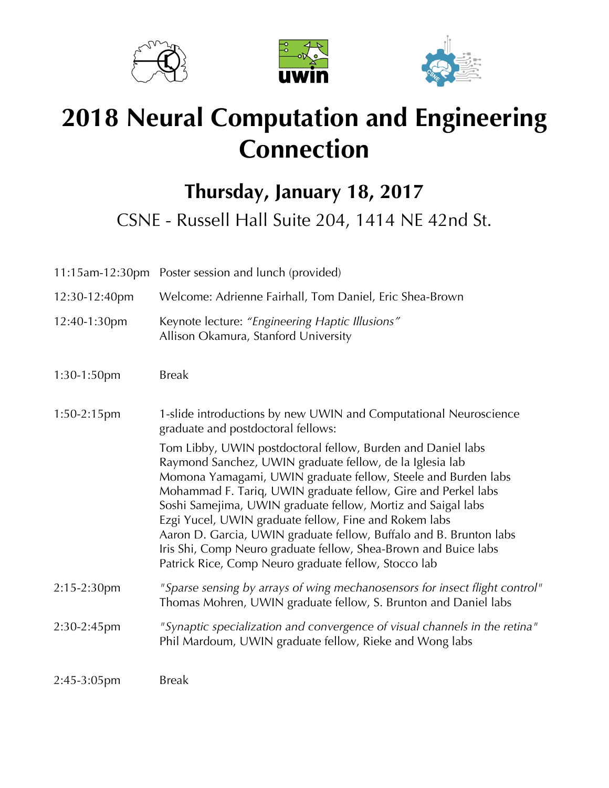





# **2018 Neural Computation and Engineering Connection**

**Thursday, January 18, 2017**

CSNE - Russell Hall Suite 204, 1414 NE 42nd St.

|                | 11:15am-12:30pm Poster session and lunch (provided)                                                                                                                                                                                                                                                                                                                                                                                                                                                                                                                                 |
|----------------|-------------------------------------------------------------------------------------------------------------------------------------------------------------------------------------------------------------------------------------------------------------------------------------------------------------------------------------------------------------------------------------------------------------------------------------------------------------------------------------------------------------------------------------------------------------------------------------|
| 12:30-12:40pm  | Welcome: Adrienne Fairhall, Tom Daniel, Eric Shea-Brown                                                                                                                                                                                                                                                                                                                                                                                                                                                                                                                             |
| 12:40-1:30pm   | Keynote lecture: "Engineering Haptic Illusions"<br>Allison Okamura, Stanford University                                                                                                                                                                                                                                                                                                                                                                                                                                                                                             |
| $1:30-1:50$ pm | <b>Break</b>                                                                                                                                                                                                                                                                                                                                                                                                                                                                                                                                                                        |
| 1:50-2:15pm    | 1-slide introductions by new UWIN and Computational Neuroscience<br>graduate and postdoctoral fellows:                                                                                                                                                                                                                                                                                                                                                                                                                                                                              |
|                | Tom Libby, UWIN postdoctoral fellow, Burden and Daniel labs<br>Raymond Sanchez, UWIN graduate fellow, de la Iglesia lab<br>Momona Yamagami, UWIN graduate fellow, Steele and Burden labs<br>Mohammad F. Tariq, UWIN graduate fellow, Gire and Perkel labs<br>Soshi Samejima, UWIN graduate fellow, Mortiz and Saigal labs<br>Ezgi Yucel, UWIN graduate fellow, Fine and Rokem labs<br>Aaron D. Garcia, UWIN graduate fellow, Buffalo and B. Brunton labs<br>Iris Shi, Comp Neuro graduate fellow, Shea-Brown and Buice labs<br>Patrick Rice, Comp Neuro graduate fellow, Stocco lab |
| 2:15-2:30pm    | "Sparse sensing by arrays of wing mechanosensors for insect flight control"<br>Thomas Mohren, UWIN graduate fellow, S. Brunton and Daniel labs                                                                                                                                                                                                                                                                                                                                                                                                                                      |
| 2:30-2:45pm    | "Synaptic specialization and convergence of visual channels in the retina"<br>Phil Mardoum, UWIN graduate fellow, Rieke and Wong labs                                                                                                                                                                                                                                                                                                                                                                                                                                               |
| 2:45-3:05pm    | <b>Break</b>                                                                                                                                                                                                                                                                                                                                                                                                                                                                                                                                                                        |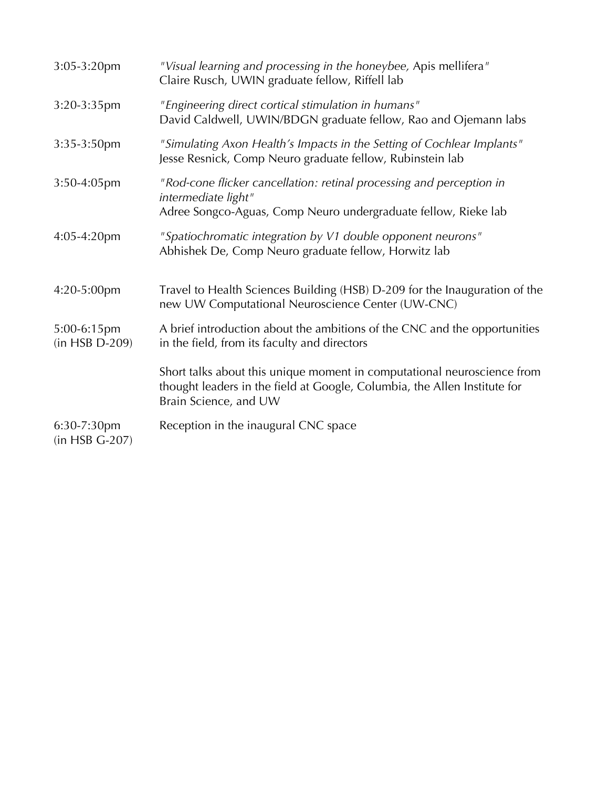| 3:05-3:20pm                   | "Visual learning and processing in the honeybee, Apis mellifera"<br>Claire Rusch, UWIN graduate fellow, Riffell lab                                                           |
|-------------------------------|-------------------------------------------------------------------------------------------------------------------------------------------------------------------------------|
| 3:20-3:35pm                   | "Engineering direct cortical stimulation in humans"<br>David Caldwell, UWIN/BDGN graduate fellow, Rao and Ojemann labs                                                        |
| 3:35-3:50pm                   | "Simulating Axon Health's Impacts in the Setting of Cochlear Implants"<br>Jesse Resnick, Comp Neuro graduate fellow, Rubinstein lab                                           |
| 3:50-4:05pm                   | "Rod-cone flicker cancellation: retinal processing and perception in<br>intermediate light"<br>Adree Songco-Aguas, Comp Neuro undergraduate fellow, Rieke lab                 |
| 4:05-4:20pm                   | "Spatiochromatic integration by V1 double opponent neurons"<br>Abhishek De, Comp Neuro graduate fellow, Horwitz lab                                                           |
| 4:20-5:00pm                   | Travel to Health Sciences Building (HSB) D-209 for the Inauguration of the<br>new UW Computational Neuroscience Center (UW-CNC)                                               |
| 5:00-6:15pm<br>(in HSB D-209) | A brief introduction about the ambitions of the CNC and the opportunities<br>in the field, from its faculty and directors                                                     |
|                               | Short talks about this unique moment in computational neuroscience from<br>thought leaders in the field at Google, Columbia, the Allen Institute for<br>Brain Science, and UW |
| 6:30-7:30pm<br>(in HSB G-207) | Reception in the inaugural CNC space                                                                                                                                          |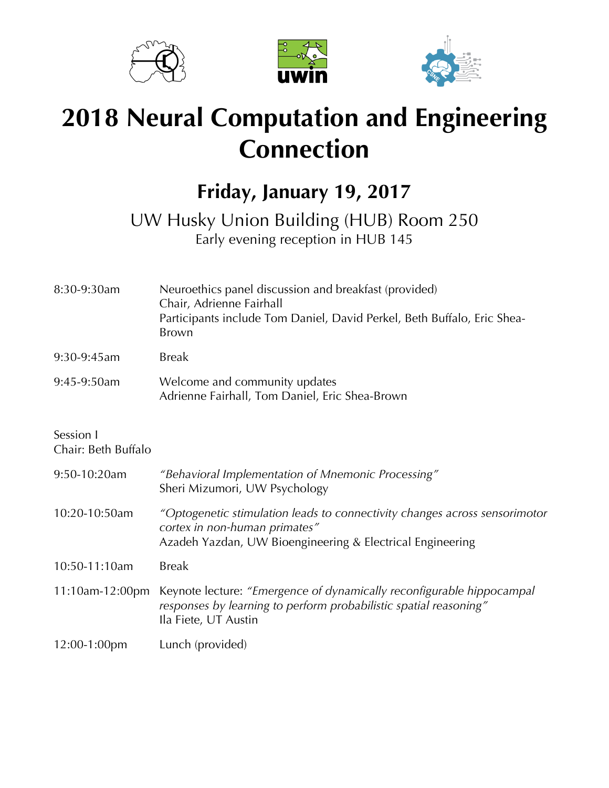





# **2018 Neural Computation and Engineering Connection**

### **Friday, January 19, 2017**

### UW Husky Union Building (HUB) Room 250 Early evening reception in HUB 145

| 8:30-9:30am                      | Neuroethics panel discussion and breakfast (provided)<br>Chair, Adrienne Fairhall<br>Participants include Tom Daniel, David Perkel, Beth Buffalo, Eric Shea-<br><b>Brown</b> |
|----------------------------------|------------------------------------------------------------------------------------------------------------------------------------------------------------------------------|
| 9:30-9:45am                      | <b>Break</b>                                                                                                                                                                 |
| 9:45-9:50am                      | Welcome and community updates<br>Adrienne Fairhall, Tom Daniel, Eric Shea-Brown                                                                                              |
| Session I<br>Chair: Beth Buffalo |                                                                                                                                                                              |
| 9:50-10:20am                     | "Behavioral Implementation of Mnemonic Processing"<br>Sheri Mizumori, UW Psychology                                                                                          |
| 10:20-10:50am                    | "Optogenetic stimulation leads to connectivity changes across sensorimotor<br>cortex in non-human primates"<br>Azadeh Yazdan, UW Bioengineering & Electrical Engineering     |
| 10:50-11:10am                    | <b>Break</b>                                                                                                                                                                 |
| 11:10am-12:00pm                  | Keynote lecture: "Emergence of dynamically reconfigurable hippocampal<br>responses by learning to perform probabilistic spatial reasoning"<br>Ila Fiete, UT Austin           |
| 12:00-1:00pm                     | Lunch (provided)                                                                                                                                                             |